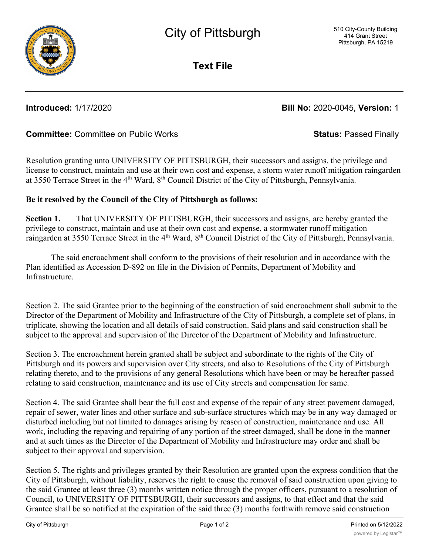

**Text File**

**Introduced:** 1/17/2020 **Bill No:** 2020-0045, **Version:** 1

# **Committee:** Committee on Public Works **Status:** Passed Finally

Resolution granting unto UNIVERSITY OF PITTSBURGH, their successors and assigns, the privilege and license to construct, maintain and use at their own cost and expense, a storm water runoff mitigation raingarden at 3550 Terrace Street in the 4<sup>th</sup> Ward, 8<sup>th</sup> Council District of the City of Pittsburgh, Pennsylvania.

## **Be it resolved by the Council of the City of Pittsburgh as follows:**

**Section 1.** That UNIVERSITY OF PITTSBURGH, their successors and assigns, are hereby granted the privilege to construct, maintain and use at their own cost and expense, a stormwater runoff mitigation raingarden at 3550 Terrace Street in the 4<sup>th</sup> Ward, 8<sup>th</sup> Council District of the City of Pittsburgh, Pennsylvania.

The said encroachment shall conform to the provisions of their resolution and in accordance with the Plan identified as Accession D-892 on file in the Division of Permits, Department of Mobility and Infrastructure.

Section 2. The said Grantee prior to the beginning of the construction of said encroachment shall submit to the Director of the Department of Mobility and Infrastructure of the City of Pittsburgh, a complete set of plans, in triplicate, showing the location and all details of said construction. Said plans and said construction shall be subject to the approval and supervision of the Director of the Department of Mobility and Infrastructure.

Section 3. The encroachment herein granted shall be subject and subordinate to the rights of the City of Pittsburgh and its powers and supervision over City streets, and also to Resolutions of the City of Pittsburgh relating thereto, and to the provisions of any general Resolutions which have been or may be hereafter passed relating to said construction, maintenance and its use of City streets and compensation for same.

Section 4. The said Grantee shall bear the full cost and expense of the repair of any street pavement damaged, repair of sewer, water lines and other surface and sub-surface structures which may be in any way damaged or disturbed including but not limited to damages arising by reason of construction, maintenance and use. All work, including the repaving and repairing of any portion of the street damaged, shall be done in the manner and at such times as the Director of the Department of Mobility and Infrastructure may order and shall be subject to their approval and supervision.

Section 5. The rights and privileges granted by their Resolution are granted upon the express condition that the City of Pittsburgh, without liability, reserves the right to cause the removal of said construction upon giving to the said Grantee at least three (3) months written notice through the proper officers, pursuant to a resolution of Council, to UNIVERSITY OF PITTSBURGH, their successors and assigns, to that effect and that the said Grantee shall be so notified at the expiration of the said three (3) months forthwith remove said construction